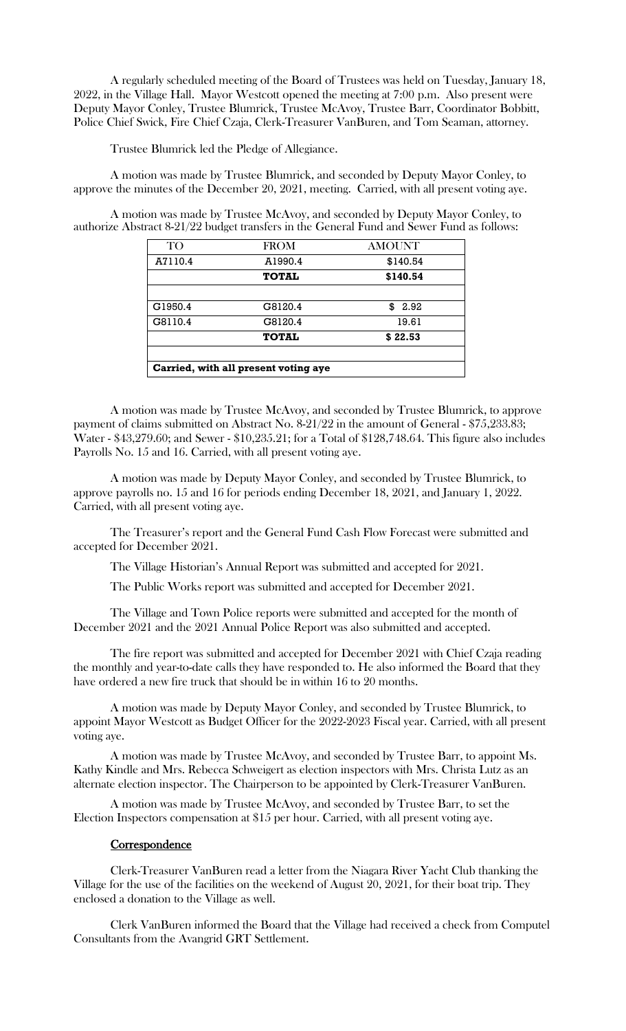A regularly scheduled meeting of the Board of Trustees was held on Tuesday, January 18, 2022, in the Village Hall. Mayor Westcott opened the meeting at 7:00 p.m. Also present were Deputy Mayor Conley, Trustee Blumrick, Trustee McAvoy, Trustee Barr, Coordinator Bobbitt, Police Chief Swick, Fire Chief Czaja, Clerk-Treasurer VanBuren, and Tom Seaman, attorney.

Trustee Blumrick led the Pledge of Allegiance.

A motion was made by Trustee Blumrick, and seconded by Deputy Mayor Conley, to approve the minutes of the December 20, 2021, meeting. Carried, with all present voting aye.

A motion was made by Trustee McAvoy, and seconded by Deputy Mayor Conley, to authorize Abstract 8-21/22 budget transfers in the General Fund and Sewer Fund as follows:

| TO <sub>1</sub> | <b>FROM</b>  | <b>AMOUNT</b> |
|-----------------|--------------|---------------|
| A7110.4         | A1990.4      | \$140.54      |
|                 | <b>TOTAL</b> | \$140.54      |
|                 |              |               |
| G1950.4         | G8120.4      | 2.92<br>\$.   |
| G8110.4         | G8120.4      | 19.61         |
|                 | <b>TOTAL</b> | \$22.53       |

A motion was made by Trustee McAvoy, and seconded by Trustee Blumrick, to approve payment of claims submitted on Abstract No. 8-21/22 in the amount of General - \$75,233.83; Water - \$43,279.60; and Sewer - \$10,235.21; for a Total of \$128,748.64. This figure also includes Payrolls No. 15 and 16. Carried, with all present voting aye.

A motion was made by Deputy Mayor Conley, and seconded by Trustee Blumrick, to approve payrolls no. 15 and 16 for periods ending December 18, 2021, and January 1, 2022. Carried, with all present voting aye.

The Treasurer's report and the General Fund Cash Flow Forecast were submitted and accepted for December 2021.

The Village Historian's Annual Report was submitted and accepted for 2021.

The Public Works report was submitted and accepted for December 2021.

The Village and Town Police reports were submitted and accepted for the month of December 2021 and the 2021 Annual Police Report was also submitted and accepted.

The fire report was submitted and accepted for December 2021 with Chief Czaja reading the monthly and year-to-date calls they have responded to. He also informed the Board that they have ordered a new fire truck that should be in within 16 to 20 months.

A motion was made by Deputy Mayor Conley, and seconded by Trustee Blumrick, to appoint Mayor Westcott as Budget Officer for the 2022-2023 Fiscal year. Carried, with all present voting aye.

A motion was made by Trustee McAvoy, and seconded by Trustee Barr, to appoint Ms. Kathy Kindle and Mrs. Rebecca Schweigert as election inspectors with Mrs. Christa Lutz as an alternate election inspector. The Chairperson to be appointed by Clerk-Treasurer VanBuren.

A motion was made by Trustee McAvoy, and seconded by Trustee Barr, to set the Election Inspectors compensation at \$15 per hour. Carried, with all present voting aye.

## **Correspondence**

Clerk-Treasurer VanBuren read a letter from the Niagara River Yacht Club thanking the Village for the use of the facilities on the weekend of August 20, 2021, for their boat trip. They enclosed a donation to the Village as well.

Clerk VanBuren informed the Board that the Village had received a check from Computel Consultants from the Avangrid GRT Settlement.